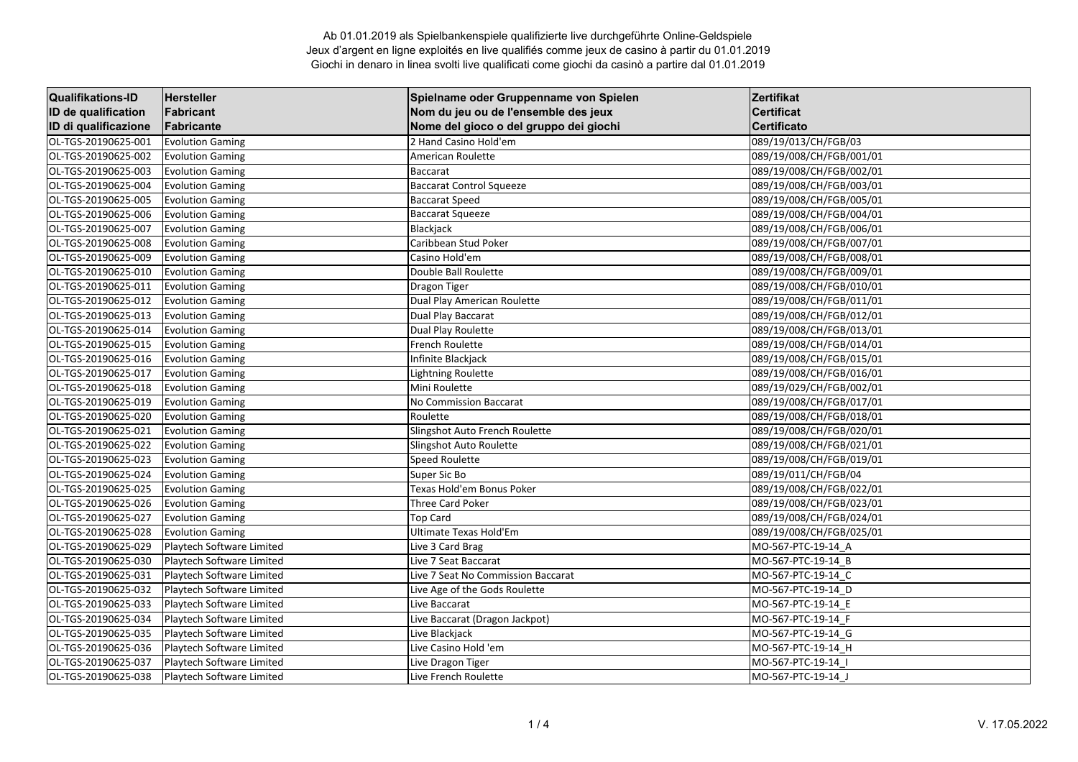| <b>Qualifikations-ID</b> | <b>Hersteller</b>         | Spielname oder Gruppenname von Spielen | Zertifikat               |
|--------------------------|---------------------------|----------------------------------------|--------------------------|
| ID de qualification      | Fabricant                 | Nom du jeu ou de l'ensemble des jeux   | <b>Certificat</b>        |
| ID di qualificazione     | Fabricante                | Nome del gioco o del gruppo dei giochi | <b>Certificato</b>       |
| OL-TGS-20190625-001      | <b>Evolution Gaming</b>   | 2 Hand Casino Hold'em                  | 089/19/013/CH/FGB/03     |
| OL-TGS-20190625-002      | <b>Evolution Gaming</b>   | <b>American Roulette</b>               | 089/19/008/CH/FGB/001/01 |
| OL-TGS-20190625-003      | <b>Evolution Gaming</b>   | Baccarat                               | 089/19/008/CH/FGB/002/01 |
| OL-TGS-20190625-004      | <b>Evolution Gaming</b>   | <b>Baccarat Control Squeeze</b>        | 089/19/008/CH/FGB/003/01 |
| OL-TGS-20190625-005      | <b>Evolution Gaming</b>   | <b>Baccarat Speed</b>                  | 089/19/008/CH/FGB/005/01 |
| OL-TGS-20190625-006      | <b>Evolution Gaming</b>   | <b>Baccarat Squeeze</b>                | 089/19/008/CH/FGB/004/01 |
| OL-TGS-20190625-007      | <b>Evolution Gaming</b>   | Blackjack                              | 089/19/008/CH/FGB/006/01 |
| OL-TGS-20190625-008      | <b>Evolution Gaming</b>   | Caribbean Stud Poker                   | 089/19/008/CH/FGB/007/01 |
| OL-TGS-20190625-009      | <b>Evolution Gaming</b>   | Casino Hold'em                         | 089/19/008/CH/FGB/008/01 |
| OL-TGS-20190625-010      | <b>Evolution Gaming</b>   | Double Ball Roulette                   | 089/19/008/CH/FGB/009/01 |
| OL-TGS-20190625-011      | <b>Evolution Gaming</b>   | Dragon Tiger                           | 089/19/008/CH/FGB/010/01 |
| OL-TGS-20190625-012      | <b>Evolution Gaming</b>   | Dual Play American Roulette            | 089/19/008/CH/FGB/011/01 |
| OL-TGS-20190625-013      | <b>Evolution Gaming</b>   | Dual Play Baccarat                     | 089/19/008/CH/FGB/012/01 |
| OL-TGS-20190625-014      | <b>Evolution Gaming</b>   | Dual Play Roulette                     | 089/19/008/CH/FGB/013/01 |
| OL-TGS-20190625-015      | <b>Evolution Gaming</b>   | French Roulette                        | 089/19/008/CH/FGB/014/01 |
| OL-TGS-20190625-016      | <b>Evolution Gaming</b>   | Infinite Blackjack                     | 089/19/008/CH/FGB/015/01 |
| OL-TGS-20190625-017      | <b>Evolution Gaming</b>   | Lightning Roulette                     | 089/19/008/CH/FGB/016/01 |
| OL-TGS-20190625-018      | <b>Evolution Gaming</b>   | Mini Roulette                          | 089/19/029/CH/FGB/002/01 |
| OL-TGS-20190625-019      | <b>Evolution Gaming</b>   | <b>No Commission Baccarat</b>          | 089/19/008/CH/FGB/017/01 |
| OL-TGS-20190625-020      | <b>Evolution Gaming</b>   | Roulette                               | 089/19/008/CH/FGB/018/01 |
| OL-TGS-20190625-021      | <b>Evolution Gaming</b>   | Slingshot Auto French Roulette         | 089/19/008/CH/FGB/020/01 |
| OL-TGS-20190625-022      | <b>Evolution Gaming</b>   | Slingshot Auto Roulette                | 089/19/008/CH/FGB/021/01 |
| OL-TGS-20190625-023      | <b>Evolution Gaming</b>   | <b>Speed Roulette</b>                  | 089/19/008/CH/FGB/019/01 |
| OL-TGS-20190625-024      | <b>Evolution Gaming</b>   | Super Sic Bo                           | 089/19/011/CH/FGB/04     |
| OL-TGS-20190625-025      | <b>Evolution Gaming</b>   | Texas Hold'em Bonus Poker              | 089/19/008/CH/FGB/022/01 |
| OL-TGS-20190625-026      | <b>Evolution Gaming</b>   | Three Card Poker                       | 089/19/008/CH/FGB/023/01 |
| OL-TGS-20190625-027      | <b>Evolution Gaming</b>   | <b>Top Card</b>                        | 089/19/008/CH/FGB/024/01 |
| OL-TGS-20190625-028      | <b>Evolution Gaming</b>   | Ultimate Texas Hold'Em                 | 089/19/008/CH/FGB/025/01 |
| OL-TGS-20190625-029      | Playtech Software Limited | Live 3 Card Brag                       | MO-567-PTC-19-14_A       |
| OL-TGS-20190625-030      | Playtech Software Limited | Live 7 Seat Baccarat                   | MO-567-PTC-19-14 B       |
| OL-TGS-20190625-031      | Playtech Software Limited | Live 7 Seat No Commission Baccarat     | MO-567-PTC-19-14_C       |
| OL-TGS-20190625-032      | Playtech Software Limited | Live Age of the Gods Roulette          | MO-567-PTC-19-14 D       |
| OL-TGS-20190625-033      | Playtech Software Limited | Live Baccarat                          | MO-567-PTC-19-14_E       |
| OL-TGS-20190625-034      | Playtech Software Limited | Live Baccarat (Dragon Jackpot)         | MO-567-PTC-19-14 F       |
| OL-TGS-20190625-035      | Playtech Software Limited | Live Blackjack                         | MO-567-PTC-19-14_G       |
| OL-TGS-20190625-036      | Playtech Software Limited | Live Casino Hold 'em                   | MO-567-PTC-19-14_H       |
| OL-TGS-20190625-037      | Playtech Software Limited | Live Dragon Tiger                      | MO-567-PTC-19-14 I       |
| OL-TGS-20190625-038      | Playtech Software Limited | Live French Roulette                   | MO-567-PTC-19-14 J       |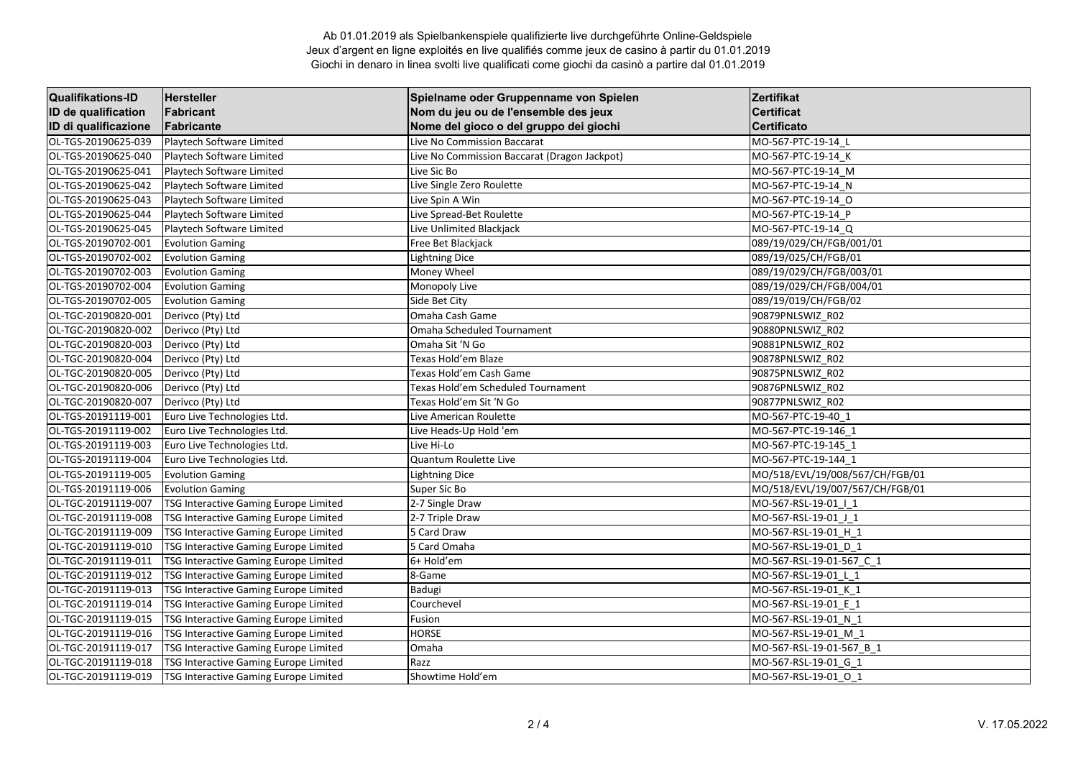| <b>Qualifikations-ID</b> | <b>Hersteller</b>                     | Spielname oder Gruppenname von Spielen       | <b>Zertifikat</b>               |
|--------------------------|---------------------------------------|----------------------------------------------|---------------------------------|
| ID de qualification      | Fabricant                             | Nom du jeu ou de l'ensemble des jeux         | <b>Certificat</b>               |
| ID di qualificazione     | Fabricante                            | Nome del gioco o del gruppo dei giochi       | <b>Certificato</b>              |
| OL-TGS-20190625-039      | Playtech Software Limited             | Live No Commission Baccarat                  | MO-567-PTC-19-14_L              |
| OL-TGS-20190625-040      | Playtech Software Limited             | Live No Commission Baccarat (Dragon Jackpot) | MO-567-PTC-19-14 K              |
| OL-TGS-20190625-041      | Playtech Software Limited             | Live Sic Bo                                  | MO-567-PTC-19-14 M              |
| OL-TGS-20190625-042      | Playtech Software Limited             | Live Single Zero Roulette                    | MO-567-PTC-19-14 N              |
| OL-TGS-20190625-043      | Playtech Software Limited             | Live Spin A Win                              | MO-567-PTC-19-14 O              |
| OL-TGS-20190625-044      | Playtech Software Limited             | Live Spread-Bet Roulette                     | MO-567-PTC-19-14_P              |
| OL-TGS-20190625-045      | Playtech Software Limited             | Live Unlimited Blackjack                     | MO-567-PTC-19-14 Q              |
| OL-TGS-20190702-001      | <b>Evolution Gaming</b>               | Free Bet Blackjack                           | 089/19/029/CH/FGB/001/01        |
| OL-TGS-20190702-002      | <b>Evolution Gaming</b>               | <b>Lightning Dice</b>                        | 089/19/025/CH/FGB/01            |
| OL-TGS-20190702-003      | <b>Evolution Gaming</b>               | Money Wheel                                  | 089/19/029/CH/FGB/003/01        |
| OL-TGS-20190702-004      | <b>Evolution Gaming</b>               | Monopoly Live                                | 089/19/029/CH/FGB/004/01        |
| OL-TGS-20190702-005      | <b>Evolution Gaming</b>               | Side Bet City                                | 089/19/019/CH/FGB/02            |
| OL-TGC-20190820-001      | Derivco (Pty) Ltd                     | Omaha Cash Game                              | 90879PNLSWIZ R02                |
| OL-TGC-20190820-002      | Derivco (Pty) Ltd                     | Omaha Scheduled Tournament                   | 90880PNLSWIZ R02                |
| OL-TGC-20190820-003      | Derivco (Pty) Ltd                     | Omaha Sit 'N Go                              | 90881PNLSWIZ R02                |
| OL-TGC-20190820-004      | Derivco (Pty) Ltd                     | Texas Hold'em Blaze                          | 90878PNLSWIZ R02                |
| OL-TGC-20190820-005      | Derivco (Pty) Ltd                     | Texas Hold'em Cash Game                      | 90875PNLSWIZ R02                |
| OL-TGC-20190820-006      | Derivco (Pty) Ltd                     | Texas Hold'em Scheduled Tournament           | 90876PNLSWIZ R02                |
| OL-TGC-20190820-007      | Derivco (Pty) Ltd                     | Texas Hold'em Sit 'N Go                      | 90877PNLSWIZ R02                |
| OL-TGS-20191119-001      | Euro Live Technologies Ltd.           | Live American Roulette                       | MO-567-PTC-19-40 1              |
| OL-TGS-20191119-002      | Euro Live Technologies Ltd.           | Live Heads-Up Hold 'em                       | MO-567-PTC-19-146_1             |
| OL-TGS-20191119-003      | Euro Live Technologies Ltd.           | Live Hi-Lo                                   | MO-567-PTC-19-145_1             |
| OL-TGS-20191119-004      | Euro Live Technologies Ltd.           | Quantum Roulette Live                        | MO-567-PTC-19-144 1             |
| OL-TGS-20191119-005      | <b>Evolution Gaming</b>               | Lightning Dice                               | MO/518/EVL/19/008/567/CH/FGB/01 |
| OL-TGS-20191119-006      | <b>Evolution Gaming</b>               | Super Sic Bo                                 | MO/518/EVL/19/007/567/CH/FGB/01 |
| OL-TGC-20191119-007      | TSG Interactive Gaming Europe Limited | 2-7 Single Draw                              | MO-567-RSL-19-01   1            |
| OL-TGC-20191119-008      | TSG Interactive Gaming Europe Limited | 2-7 Triple Draw                              | MO-567-RSL-19-01 J 1            |
| OL-TGC-20191119-009      | TSG Interactive Gaming Europe Limited | 5 Card Draw                                  | MO-567-RSL-19-01_H_1            |
| OL-TGC-20191119-010      | TSG Interactive Gaming Europe Limited | 5 Card Omaha                                 | MO-567-RSL-19-01 D 1            |
| OL-TGC-20191119-011      | TSG Interactive Gaming Europe Limited | 6+ Hold'em                                   | MO-567-RSL-19-01-567 C 1        |
| OL-TGC-20191119-012      | TSG Interactive Gaming Europe Limited | 8-Game                                       | MO-567-RSL-19-01_L_1            |
| OL-TGC-20191119-013      | TSG Interactive Gaming Europe Limited | Badugi                                       | MO-567-RSL-19-01 K 1            |
| OL-TGC-20191119-014      | TSG Interactive Gaming Europe Limited | Courchevel                                   | MO-567-RSL-19-01 E 1            |
| OL-TGC-20191119-015      | TSG Interactive Gaming Europe Limited | Fusion                                       | MO-567-RSL-19-01_N_1            |
| OL-TGC-20191119-016      | TSG Interactive Gaming Europe Limited | <b>HORSE</b>                                 | MO-567-RSL-19-01 M 1            |
| OL-TGC-20191119-017      | TSG Interactive Gaming Europe Limited | Omaha                                        | MO-567-RSL-19-01-567 B 1        |
| OL-TGC-20191119-018      | TSG Interactive Gaming Europe Limited | Razz                                         | MO-567-RSL-19-01 G 1            |
| OL-TGC-20191119-019      | TSG Interactive Gaming Europe Limited | Showtime Hold'em                             | MO-567-RSL-19-01 O 1            |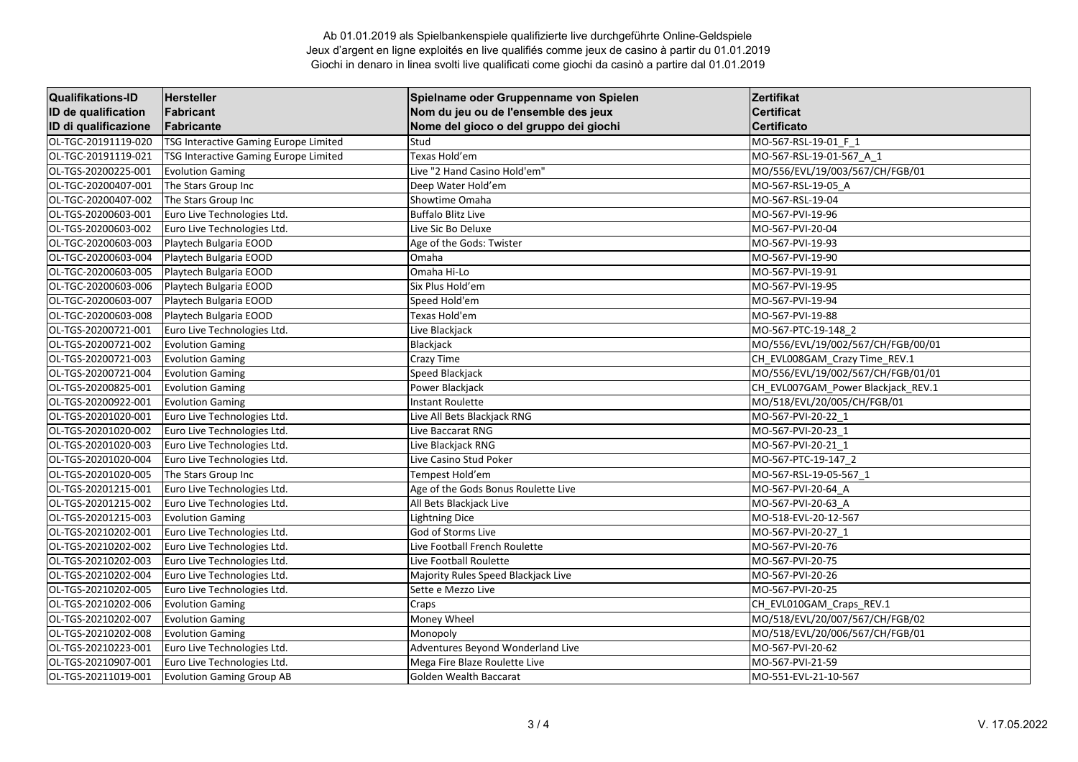| <b>Qualifikations-ID</b> | <b>Hersteller</b>                     | Spielname oder Gruppenname von Spielen | Zertifikat                         |
|--------------------------|---------------------------------------|----------------------------------------|------------------------------------|
| ID de qualification      | Fabricant                             | Nom du jeu ou de l'ensemble des jeux   | <b>Certificat</b>                  |
| ID di qualificazione     | Fabricante                            | Nome del gioco o del gruppo dei giochi | Certificato                        |
| OL-TGC-20191119-020      | TSG Interactive Gaming Europe Limited | Stud                                   | MO-567-RSL-19-01 F 1               |
| OL-TGC-20191119-021      | TSG Interactive Gaming Europe Limited | Texas Hold'em                          | MO-567-RSL-19-01-567 A 1           |
| OL-TGS-20200225-001      | <b>Evolution Gaming</b>               | Live "2 Hand Casino Hold'em"           | MO/556/EVL/19/003/567/CH/FGB/01    |
| OL-TGC-20200407-001      | The Stars Group Inc                   | Deep Water Hold'em                     | MO-567-RSL-19-05 A                 |
| OL-TGC-20200407-002      | The Stars Group Inc                   | Showtime Omaha                         | MO-567-RSL-19-04                   |
| OL-TGS-20200603-001      | Euro Live Technologies Ltd.           | <b>Buffalo Blitz Live</b>              | MO-567-PVI-19-96                   |
| OL-TGS-20200603-002      | Euro Live Technologies Ltd.           | Live Sic Bo Deluxe                     | MO-567-PVI-20-04                   |
| OL-TGC-20200603-003      | Playtech Bulgaria EOOD                | Age of the Gods: Twister               | MO-567-PVI-19-93                   |
| OL-TGC-20200603-004      | Playtech Bulgaria EOOD                | Omaha                                  | MO-567-PVI-19-90                   |
| OL-TGC-20200603-005      | Playtech Bulgaria EOOD                | Omaha Hi-Lo                            | MO-567-PVI-19-91                   |
| OL-TGC-20200603-006      | Playtech Bulgaria EOOD                | Six Plus Hold'em                       | MO-567-PVI-19-95                   |
| OL-TGC-20200603-007      | Playtech Bulgaria EOOD                | Speed Hold'em                          | MO-567-PVI-19-94                   |
| OL-TGC-20200603-008      | Playtech Bulgaria EOOD                | Texas Hold'em                          | MO-567-PVI-19-88                   |
| OL-TGS-20200721-001      | Euro Live Technologies Ltd.           | Live Blackjack                         | MO-567-PTC-19-148 2                |
| OL-TGS-20200721-002      | <b>Evolution Gaming</b>               | Blackjack                              | MO/556/EVL/19/002/567/CH/FGB/00/01 |
| OL-TGS-20200721-003      | <b>Evolution Gaming</b>               | Crazy Time                             | CH_EVL008GAM_Crazy Time_REV.1      |
| OL-TGS-20200721-004      | <b>Evolution Gaming</b>               | Speed Blackjack                        | MO/556/EVL/19/002/567/CH/FGB/01/01 |
| OL-TGS-20200825-001      | <b>Evolution Gaming</b>               | Power Blackjack                        | CH EVL007GAM Power Blackjack REV.1 |
| OL-TGS-20200922-001      | <b>Evolution Gaming</b>               | <b>Instant Roulette</b>                | MO/518/EVL/20/005/CH/FGB/01        |
| OL-TGS-20201020-001      | Euro Live Technologies Ltd.           | Live All Bets Blackjack RNG            | MO-567-PVI-20-22_1                 |
| OL-TGS-20201020-002      | Euro Live Technologies Ltd.           | Live Baccarat RNG                      | MO-567-PVI-20-23 1                 |
| OL-TGS-20201020-003      | Euro Live Technologies Ltd.           | Live Blackjack RNG                     | MO-567-PVI-20-21 1                 |
| OL-TGS-20201020-004      | Euro Live Technologies Ltd.           | Live Casino Stud Poker                 | MO-567-PTC-19-147 2                |
| OL-TGS-20201020-005      | The Stars Group Inc                   | Tempest Hold'em                        | MO-567-RSL-19-05-567 1             |
| OL-TGS-20201215-001      | Euro Live Technologies Ltd.           | Age of the Gods Bonus Roulette Live    | MO-567-PVI-20-64 A                 |
| OL-TGS-20201215-002      | Euro Live Technologies Ltd.           | All Bets Blackjack Live                | MO-567-PVI-20-63 A                 |
| OL-TGS-20201215-003      | <b>Evolution Gaming</b>               | <b>Lightning Dice</b>                  | MO-518-EVL-20-12-567               |
| OL-TGS-20210202-001      | Euro Live Technologies Ltd.           | God of Storms Live                     | MO-567-PVI-20-27 1                 |
| OL-TGS-20210202-002      | Euro Live Technologies Ltd.           | Live Football French Roulette          | MO-567-PVI-20-76                   |
| OL-TGS-20210202-003      | Euro Live Technologies Ltd.           | Live Football Roulette                 | MO-567-PVI-20-75                   |
| OL-TGS-20210202-004      | Euro Live Technologies Ltd.           | Majority Rules Speed Blackjack Live    | MO-567-PVI-20-26                   |
| OL-TGS-20210202-005      | Euro Live Technologies Ltd.           | Sette e Mezzo Live                     | MO-567-PVI-20-25                   |
| OL-TGS-20210202-006      | <b>Evolution Gaming</b>               | Craps                                  | CH_EVL010GAM_Craps_REV.1           |
| OL-TGS-20210202-007      | <b>Evolution Gaming</b>               | Money Wheel                            | MO/518/EVL/20/007/567/CH/FGB/02    |
| OL-TGS-20210202-008      | <b>Evolution Gaming</b>               | Monopoly                               | MO/518/EVL/20/006/567/CH/FGB/01    |
| OL-TGS-20210223-001      | Euro Live Technologies Ltd.           | Adventures Beyond Wonderland Live      | MO-567-PVI-20-62                   |
| OL-TGS-20210907-001      | Euro Live Technologies Ltd.           | Mega Fire Blaze Roulette Live          | MO-567-PVI-21-59                   |
| OL-TGS-20211019-001      | <b>Evolution Gaming Group AB</b>      | Golden Wealth Baccarat                 | MO-551-EVL-21-10-567               |